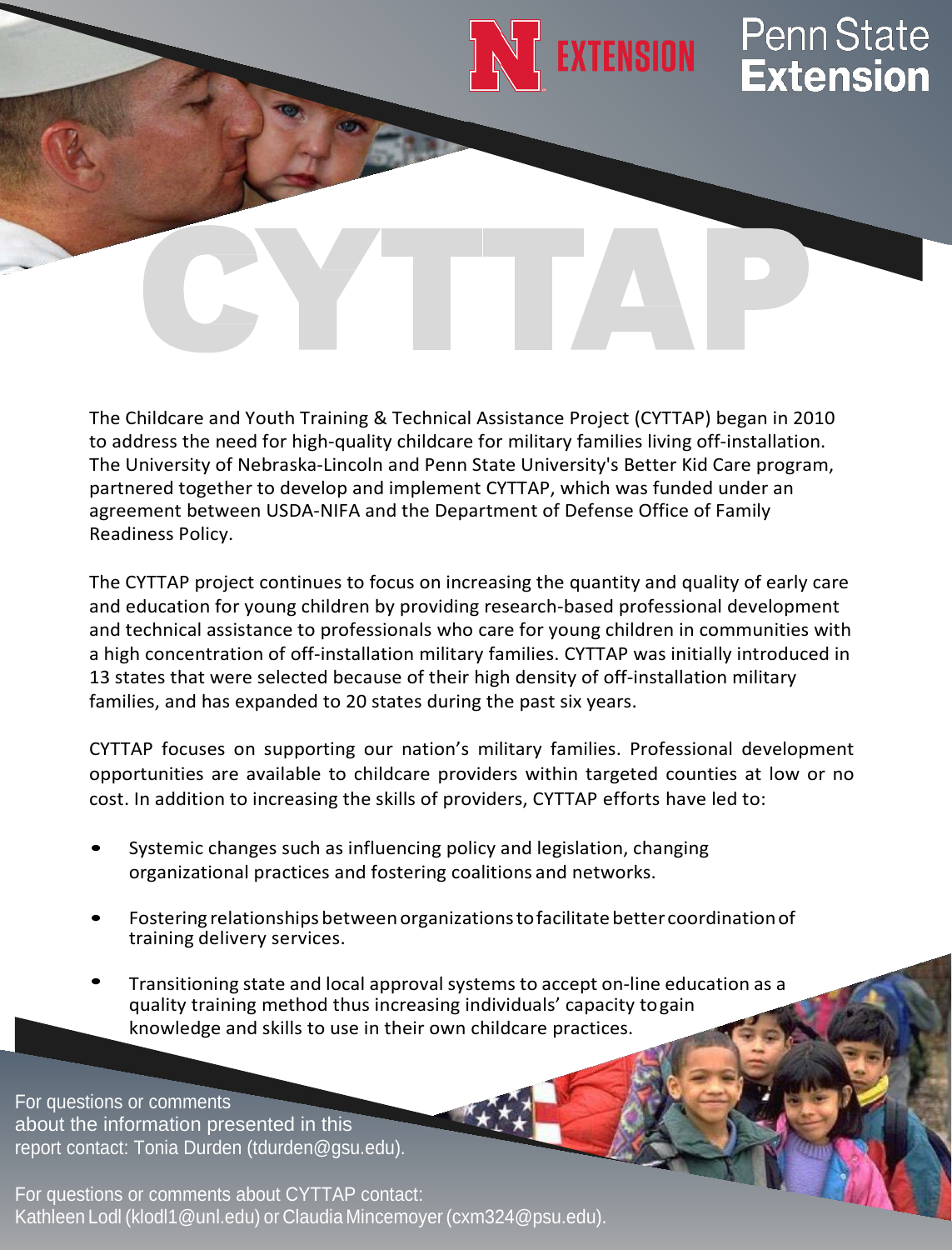

The Childcare and Youth Training & Technical Assistance Project (CYTTAP) began in 2010 to address the need for high-quality childcare for military families living off-installation. The University of Nebraska-Lincoln and Penn State University's Better Kid Care program, partnered together to develop and implement CYTTAP, which was funded under an agreement between USDA-NIFA and the Department of Defense Office of Family Readiness Policy.

The CYTTAP project continues to focus on increasing the quantity and quality of early care and education for young children by providing research-based professional development and technical assistance to professionals who care for young children in communities with a high concentration of off-installation military families. CYTTAP was initially introduced in 13 states that were selected because of their high density of off-installation military families, and has expanded to 20 states during the past six years.

CYTTAP focuses on supporting our nation's military families. Professional development opportunities are available to childcare providers within targeted counties at low or no cost. In addition to increasing the skills of providers, CYTTAP efforts have led to:

- Systemic changes such as influencing policy and legislation, changing organizational practices and fostering coalitions and networks.
- Fostering relationships betweenorganizationstofacilitatebetter coordinationof training delivery services.
- Transitioning state and local approval systems to accept on-line education as a quality training method thus increasing individuals' capacity togain knowledge and skills to use in their own childcare practices.

For questions or comments about the information presented in this report contact: Tonia Durden (tdurden@gsu.edu).

For questions or comments about CYTTAP contact: Kathleen Lodl (klodl1@unl.edu) or Claudia Mincemoyer (cxm324@psu.edu).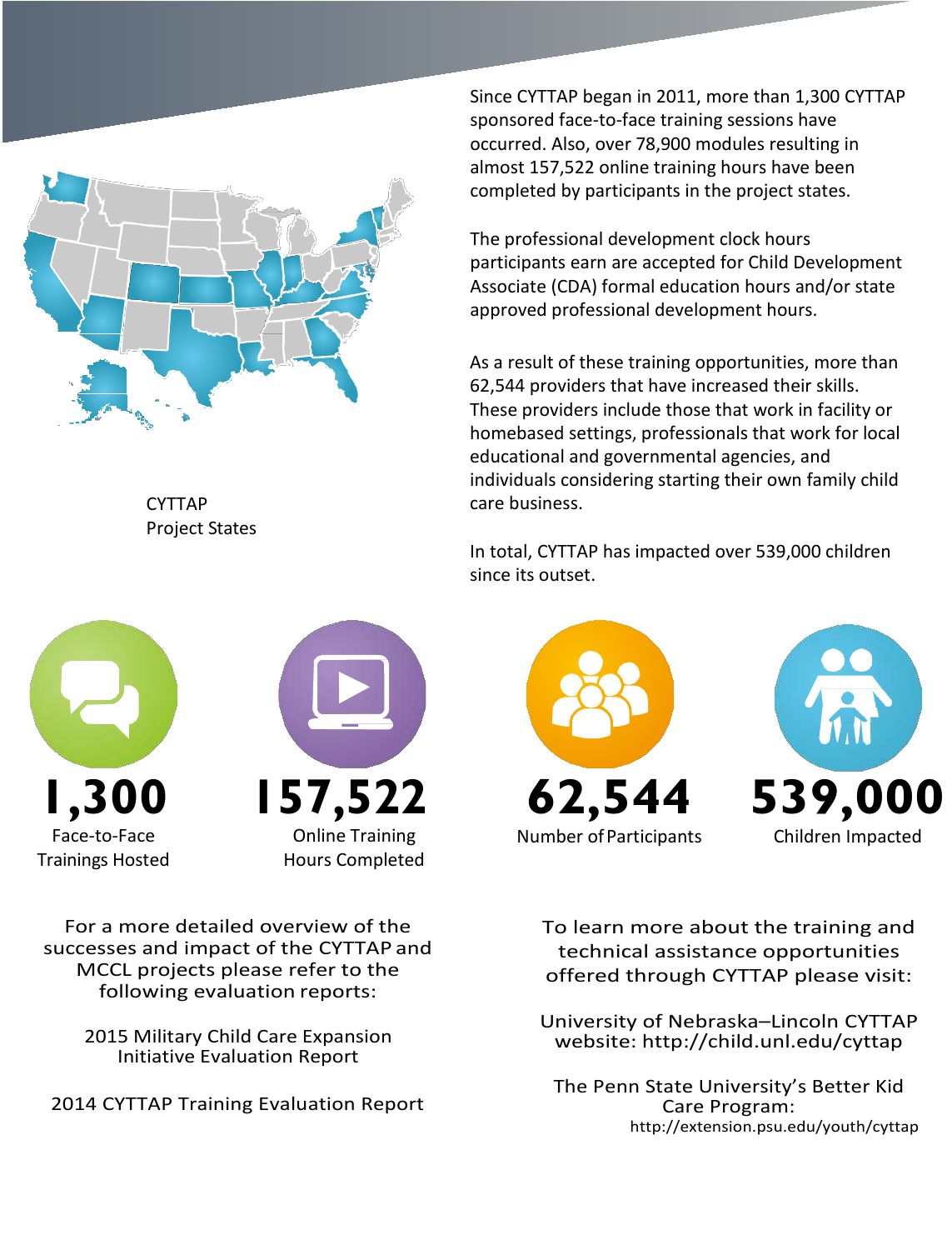

CYTTAP Project States Since CYTTAP began in 2011, more than 1,300 CYTTAP sponsored face-to-face training sessions have occurred. Also, over 78,900 modules resulting in almost 157,522 online training hours have been completed by participants in the project states.

The professional development clock hours participants earn are accepted for Child Development Associate (CDA) formal education hours and/or state approved professional development hours.

As a result of these training opportunities, more than 62,544 providers that have increased their skills. These providers include those that work in facility or homebased settings, professionals that work for local educational and governmental agencies, and individuals considering starting their own family child care business.

In total, CYTTAP has impacted over 539,000 children since its outset.

**1,300** Face-to-Face Trainings Hosted



For a more detailed overview of the successes and impact of the CYTTAP and MCCL projects please refer to the following evaluation reports:

> 2015 Military Child Care Expansion Initiative Evaluation Report

2014 CYTTAP Training Evaluation Report



To learn more about the training and technical assistance opportunities offered through CYTTAP please visit:

University of Nebraska–Lincoln CYTTAP website:<http://child.unl.edu/cyttap>

The Penn State University's Better Kid Care Program: <http://extension.psu.edu/youth/cyttap>